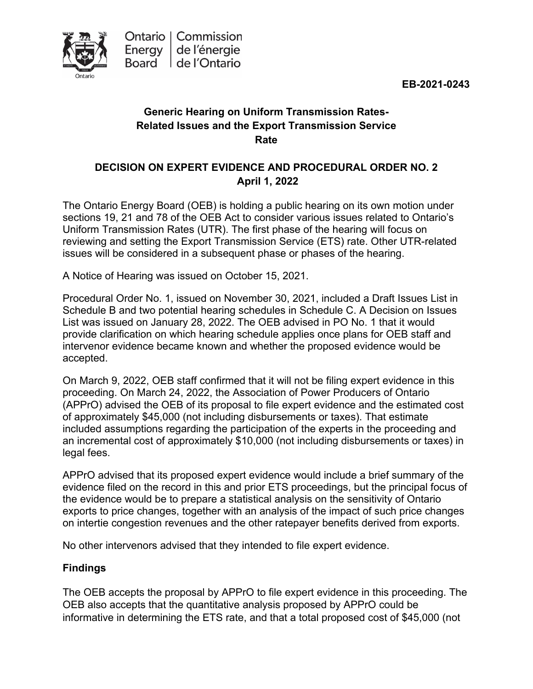**EB-2021-0243**



# **Generic Hearing on Uniform Transmission Rates-Related Issues and the Export Transmission Service Rate**

## **DECISION ON EXPERT EVIDENCE AND PROCEDURAL ORDER NO. 2 April 1, 2022**

The Ontario Energy Board (OEB) is holding a public hearing on its own motion under sections 19, 21 and 78 of the OEB Act to consider various issues related to Ontario's Uniform Transmission Rates (UTR). The first phase of the hearing will focus on reviewing and setting the Export Transmission Service (ETS) rate. Other UTR-related issues will be considered in a subsequent phase or phases of the hearing.

A Notice of Hearing was issued on October 15, 2021.

Procedural Order No. 1, issued on November 30, 2021, included a Draft Issues List in Schedule B and two potential hearing schedules in Schedule C. A Decision on Issues List was issued on January 28, 2022. The OEB advised in PO No. 1 that it would provide clarification on which hearing schedule applies once plans for OEB staff and intervenor evidence became known and whether the proposed evidence would be accepted.

On March 9, 2022, OEB staff confirmed that it will not be filing expert evidence in this proceeding. On March 24, 2022, the Association of Power Producers of Ontario (APPrO) advised the OEB of its proposal to file expert evidence and the estimated cost of approximately \$45,000 (not including disbursements or taxes). That estimate included assumptions regarding the participation of the experts in the proceeding and an incremental cost of approximately \$10,000 (not including disbursements or taxes) in legal fees.

APPrO advised that its proposed expert evidence would include a brief summary of the evidence filed on the record in this and prior ETS proceedings, but the principal focus of the evidence would be to prepare a statistical analysis on the sensitivity of Ontario exports to price changes, together with an analysis of the impact of such price changes on intertie congestion revenues and the other ratepayer benefits derived from exports.

No other intervenors advised that they intended to file expert evidence.

#### **Findings**

The OEB accepts the proposal by APPrO to file expert evidence in this proceeding. The OEB also accepts that the quantitative analysis proposed by APPrO could be informative in determining the ETS rate, and that a total proposed cost of \$45,000 (not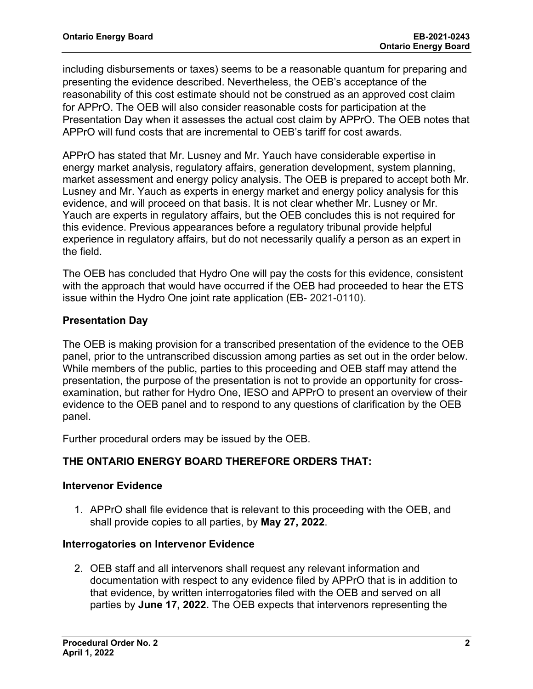including disbursements or taxes) seems to be a reasonable quantum for preparing and presenting the evidence described. Nevertheless, the OEB's acceptance of the reasonability of this cost estimate should not be construed as an approved cost claim for APPrO. The OEB will also consider reasonable costs for participation at the Presentation Day when it assesses the actual cost claim by APPrO. The OEB notes that APPrO will fund costs that are incremental to OEB's tariff for cost awards.

APPrO has stated that Mr. Lusney and Mr. Yauch have considerable expertise in energy market analysis, regulatory affairs, generation development, system planning, market assessment and energy policy analysis. The OEB is prepared to accept both Mr. Lusney and Mr. Yauch as experts in energy market and energy policy analysis for this evidence, and will proceed on that basis. It is not clear whether Mr. Lusney or Mr. Yauch are experts in regulatory affairs, but the OEB concludes this is not required for this evidence. Previous appearances before a regulatory tribunal provide helpful experience in regulatory affairs, but do not necessarily qualify a person as an expert in the field.

The OEB has concluded that Hydro One will pay the costs for this evidence, consistent with the approach that would have occurred if the OEB had proceeded to hear the ETS issue within the Hydro One joint rate application (EB- 2021-0110).

### **Presentation Day**

The OEB is making provision for a transcribed presentation of the evidence to the OEB panel, prior to the untranscribed discussion among parties as set out in the order below. While members of the public, parties to this proceeding and OEB staff may attend the presentation, the purpose of the presentation is not to provide an opportunity for crossexamination, but rather for Hydro One, IESO and APPrO to present an overview of their evidence to the OEB panel and to respond to any questions of clarification by the OEB panel.

Further procedural orders may be issued by the OEB.

## **THE ONTARIO ENERGY BOARD THEREFORE ORDERS THAT:**

#### **Intervenor Evidence**

1. APPrO shall file evidence that is relevant to this proceeding with the OEB, and shall provide copies to all parties, by **May 27, 2022**.

#### **Interrogatories on Intervenor Evidence**

2. OEB staff and all intervenors shall request any relevant information and documentation with respect to any evidence filed by APPrO that is in addition to that evidence, by written interrogatories filed with the OEB and served on all parties by **June 17, 2022.** The OEB expects that intervenors representing the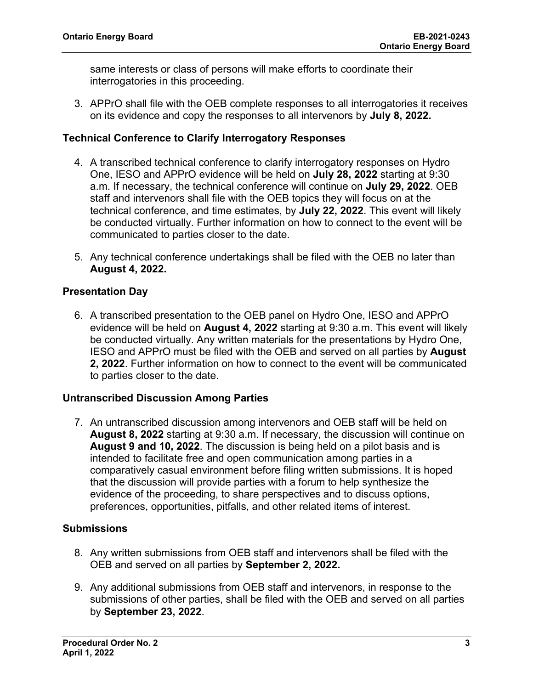same interests or class of persons will make efforts to coordinate their interrogatories in this proceeding.

3. APPrO shall file with the OEB complete responses to all interrogatories it receives on its evidence and copy the responses to all intervenors by **July 8, 2022.**

#### **Technical Conference to Clarify Interrogatory Responses**

- 4. A transcribed technical conference to clarify interrogatory responses on Hydro One, IESO and APPrO evidence will be held on **July 28, 2022** starting at 9:30 a.m. If necessary, the technical conference will continue on **July 29, 2022**. OEB staff and intervenors shall file with the OEB topics they will focus on at the technical conference, and time estimates, by **July 22, 2022**. This event will likely be conducted virtually. Further information on how to connect to the event will be communicated to parties closer to the date.
- 5. Any technical conference undertakings shall be filed with the OEB no later than **August 4, 2022.**

### **Presentation Day**

6. A transcribed presentation to the OEB panel on Hydro One, IESO and APPrO evidence will be held on **August 4, 2022** starting at 9:30 a.m. This event will likely be conducted virtually. Any written materials for the presentations by Hydro One, IESO and APPrO must be filed with the OEB and served on all parties by **August 2, 2022**. Further information on how to connect to the event will be communicated to parties closer to the date.

#### **Untranscribed Discussion Among Parties**

7. An untranscribed discussion among intervenors and OEB staff will be held on **August 8, 2022** starting at 9:30 a.m. If necessary, the discussion will continue on **August 9 and 10, 2022**. The discussion is being held on a pilot basis and is intended to facilitate free and open communication among parties in a comparatively casual environment before filing written submissions. It is hoped that the discussion will provide parties with a forum to help synthesize the evidence of the proceeding, to share perspectives and to discuss options, preferences, opportunities, pitfalls, and other related items of interest.

#### **Submissions**

- 8. Any written submissions from OEB staff and intervenors shall be filed with the OEB and served on all parties by **September 2, 2022.**
- 9. Any additional submissions from OEB staff and intervenors, in response to the submissions of other parties, shall be filed with the OEB and served on all parties by **September 23, 2022**.